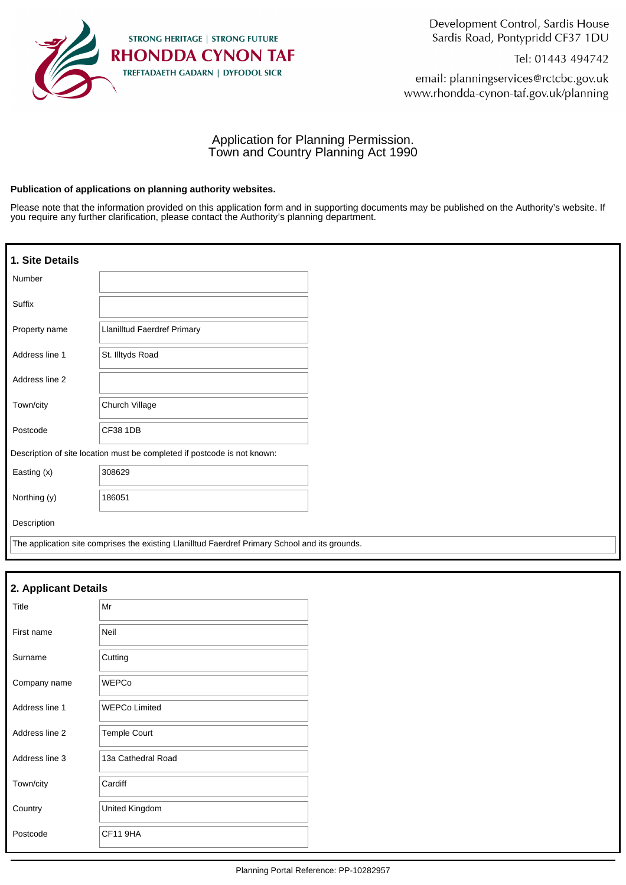

Development Control, Sardis House Sardis Road, Pontypridd CF37 1DU

Tel: 01443 494742

email: planningservices@rctcbc.gov.uk www.rhondda-cynon-taf.gov.uk/planning

# Application for Planning Permission. Town and Country Planning Act 1990

#### **Publication of applications on planning authority websites.**

Please note that the information provided on this application form and in supporting documents may be published on the Authority's website. If you require any further clarification, please contact the Authority's planning department.

| 1. Site Details |                                                                                                 |
|-----------------|-------------------------------------------------------------------------------------------------|
| Number          |                                                                                                 |
| Suffix          |                                                                                                 |
| Property name   | Llanilltud Faerdref Primary                                                                     |
| Address line 1  | St. Illtyds Road                                                                                |
| Address line 2  |                                                                                                 |
| Town/city       | Church Village                                                                                  |
| Postcode        | <b>CF38 1DB</b>                                                                                 |
|                 | Description of site location must be completed if postcode is not known:                        |
| Easting (x)     | 308629                                                                                          |
| Northing (y)    | 186051                                                                                          |
| Description     |                                                                                                 |
|                 | The application site comprises the existing Llanilltud Faerdref Primary School and its grounds. |

| 2. Applicant Details |                      |  |
|----------------------|----------------------|--|
| Title                | Mr                   |  |
| First name           | Neil                 |  |
| Surname              | Cutting              |  |
| Company name         | <b>WEPCo</b>         |  |
| Address line 1       | <b>WEPCo Limited</b> |  |
| Address line 2       | <b>Temple Court</b>  |  |
| Address line 3       | 13a Cathedral Road   |  |
| Town/city            | Cardiff              |  |
| Country              | United Kingdom       |  |
| Postcode             | CF11 9HA             |  |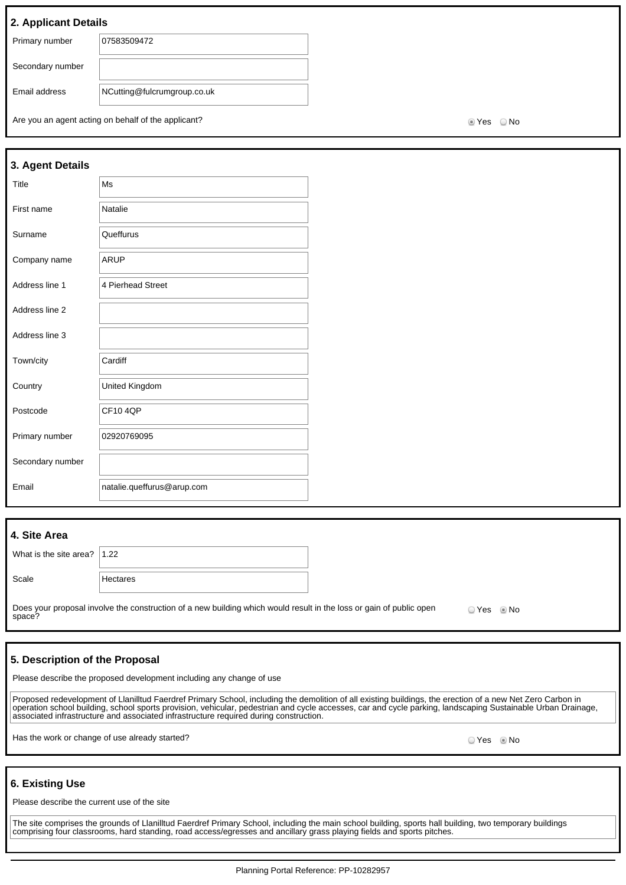## **2. Applicant Details**

| Primary number   | 07583509472                 |
|------------------|-----------------------------|
|                  |                             |
| Secondary number |                             |
|                  |                             |
| Email address    | NCutting@fulcrumgroup.co.uk |
|                  |                             |
|                  |                             |

Are you an agent acting on behalf of the applicant? Are you are set of the No Yes No

| 3. Agent Details |                            |  |
|------------------|----------------------------|--|
| Title            | Ms                         |  |
| First name       | Natalie                    |  |
| Surname          | Queffurus                  |  |
| Company name     | <b>ARUP</b>                |  |
| Address line 1   | 4 Pierhead Street          |  |
| Address line 2   |                            |  |
| Address line 3   |                            |  |
| Town/city        | Cardiff                    |  |
| Country          | United Kingdom             |  |
| Postcode         | <b>CF104OP</b>             |  |
| Primary number   | 02920769095                |  |
| Secondary number |                            |  |
| Email            | natalie.queffurus@arup.com |  |

| 4. Site Area                          |                                                                                                                               |              |  |
|---------------------------------------|-------------------------------------------------------------------------------------------------------------------------------|--------------|--|
| What is the site area? $ 1.22\rangle$ |                                                                                                                               |              |  |
| Scale                                 | Hectares                                                                                                                      |              |  |
|                                       | Does your proposal involve the construction of a new building which would result in the loss or gain of public open<br>space? | O Yes . I No |  |

#### **5. Description of the Proposal**

Please describe the proposed development including any change of use

Proposed redevelopment of Llanilltud Faerdref Primary School, including the demolition of all existing buildings, the erection of a new Net Zero Carbon in operation school building, school sports provision, vehicular, pedestrian and cycle accesses, car and cycle parking, landscaping Sustainable Urban Drainage, associated infrastructure and associated infrastructure required during construction.

Has the work or change of use already started? All the state of the state of the state of the Society of No No

#### **6. Existing Use**

Please describe the current use of the site

The site comprises the grounds of Llanilltud Faerdref Primary School, including the main school building, sports hall building, two temporary buildings comprising four classrooms, hard standing, road access/egresses and ancillary grass playing fields and sports pitches.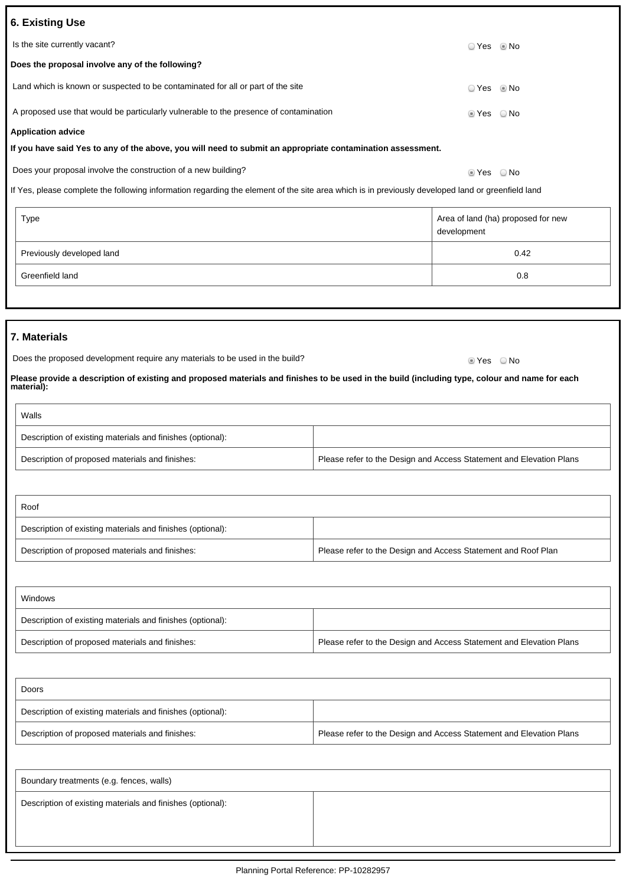| 6. Existing Use                                                                                            |                        |  |
|------------------------------------------------------------------------------------------------------------|------------------------|--|
|                                                                                                            |                        |  |
| Is the site currently vacant?                                                                              |                        |  |
| Does the proposal involve any of the following?                                                            |                        |  |
| Land which is known or suspected to be contaminated for all or part of the site                            | ⊙ Yes © No             |  |
| A proposed use that would be particularly vulnerable to the presence of contamination                      | $\circ$ Yes $\circ$ No |  |
| <b>Application advice</b>                                                                                  |                        |  |
| If you have said Yes to any of the above, you will need to submit an appropriate contamination assessment. |                        |  |
| Does your proposal involve the construction of a new building?                                             | ie Yes ∴ O No          |  |

If Yes, please complete the following information regarding the element of the site area which is in previously developed land or greenfield land

| Type                      | Area of land (ha) proposed for new<br>development |
|---------------------------|---------------------------------------------------|
| Previously developed land | 0.42                                              |
| Greenfield land           | 0.8                                               |

## **7. Materials**

| Does the proposed development require any materials to be used in the build? | ® Yes     © No |  |
|------------------------------------------------------------------------------|----------------|--|
|                                                                              |                |  |

**Please provide a description of existing and proposed materials and finishes to be used in the build (including type, colour and name for each material):**

| Walls                                                      |                                                                     |
|------------------------------------------------------------|---------------------------------------------------------------------|
| Description of existing materials and finishes (optional): |                                                                     |
| Description of proposed materials and finishes:            | Please refer to the Design and Access Statement and Elevation Plans |

| Roof                                                       |                                                               |
|------------------------------------------------------------|---------------------------------------------------------------|
| Description of existing materials and finishes (optional): |                                                               |
| Description of proposed materials and finishes:            | Please refer to the Design and Access Statement and Roof Plan |

| Windows                                                    |                                                                     |
|------------------------------------------------------------|---------------------------------------------------------------------|
| Description of existing materials and finishes (optional): |                                                                     |
| Description of proposed materials and finishes:            | Please refer to the Design and Access Statement and Elevation Plans |

| Doors                                                      |                                                                     |  |
|------------------------------------------------------------|---------------------------------------------------------------------|--|
| Description of existing materials and finishes (optional): |                                                                     |  |
| Description of proposed materials and finishes:            | Please refer to the Design and Access Statement and Elevation Plans |  |

| Boundary treatments (e.g. fences, walls)                   |  |  |
|------------------------------------------------------------|--|--|
| Description of existing materials and finishes (optional): |  |  |
|                                                            |  |  |
|                                                            |  |  |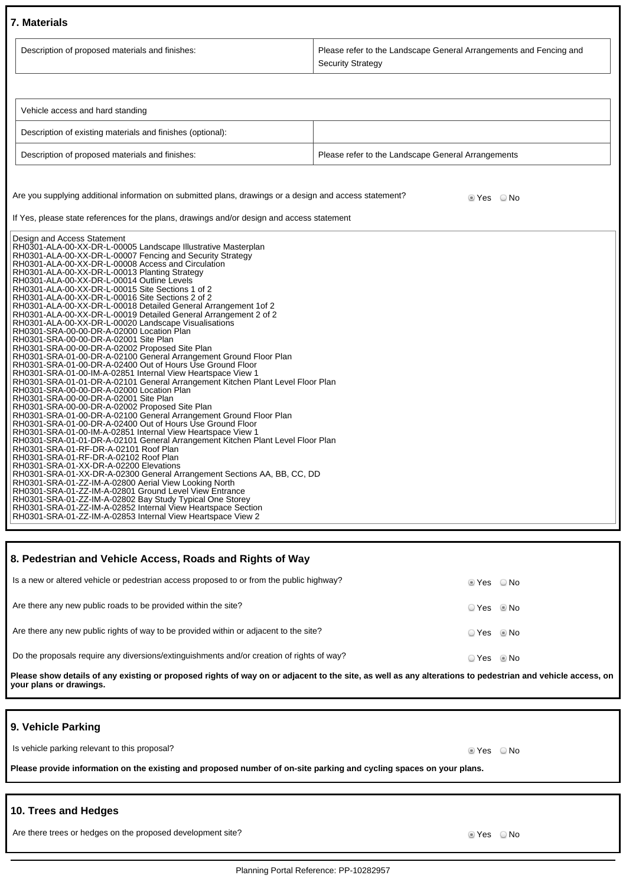#### **7. Materials**

| Description of proposed materials and finishes: | Please refer to the Landscape General Arrangements and Fencing and |  |  |
|-------------------------------------------------|--------------------------------------------------------------------|--|--|
|                                                 | <b>Security Strategy</b>                                           |  |  |

| Vehicle access and hard standing                           |                                                    |  |  |
|------------------------------------------------------------|----------------------------------------------------|--|--|
| Description of existing materials and finishes (optional): |                                                    |  |  |
| Description of proposed materials and finishes:            | Please refer to the Landscape General Arrangements |  |  |

Are you supplying additional information on submitted plans, drawings or a design and access statement? <br>
Second the Yes No

If Yes, please state references for the plans, drawings and/or design and access statement

| Design and Access Statement                                                                       |
|---------------------------------------------------------------------------------------------------|
| RH0301-ALA-00-XX-DR-L-00005 Landscape Illustrative Masterplan                                     |
| RH0301-ALA-00-XX-DR-L-00007 Fencing and Security Strategy                                         |
| RH0301-ALA-00-XX-DR-L-00008 Access and Circulation                                                |
| RH0301-ALA-00-XX-DR-L-00013 Planting Strategy                                                     |
| RH0301-ALA-00-XX-DR-L-00014 Outline Levels                                                        |
| RH0301-ALA-00-XX-DR-L-00015 Site Sections 1 of 2                                                  |
| RH0301-ALA-00-XX-DR-L-00016 Site Sections 2 of 2                                                  |
| RH0301-ALA-00-XX-DR-L-00018 Detailed General Arrangement 1 of 2                                   |
| RH0301-ALA-00-XX-DR-L-00019 Detailed General Arrangement 2 of 2                                   |
| RH0301-ALA-00-XX-DR-L-00020 Landscape Visualisations<br>RH0301-SRA-00-00-DR-A-02000 Location Plan |
| RH0301-SRA-00-00-DR-A-02001 Site Plan                                                             |
| RH0301-SRA-00-00-DR-A-02002 Proposed Site Plan                                                    |
| RH0301-SRA-01-00-DR-A-02100 General Arrangement Ground Floor Plan                                 |
| RH0301-SRA-01-00-DR-A-02400 Out of Hours Use Ground Floor                                         |
| RH0301-SRA-01-00-IM-A-02851 Internal View Heartspace View 1                                       |
| RH0301-SRA-01-01-DR-A-02101 General Arrangement Kitchen Plant Level Floor Plan                    |
| RH0301-SRA-00-00-DR-A-02000 Location Plan                                                         |
| RH0301-SRA-00-00-DR-A-02001 Site Plan                                                             |
| RH0301-SRA-00-00-DR-A-02002 Proposed Site Plan                                                    |
| RH0301-SRA-01-00-DR-A-02100 General Arrangement Ground Floor Plan                                 |
| RH0301-SRA-01-00-DR-A-02400 Out of Hours Use Ground Floor                                         |
| RH0301-SRA-01-00-IM-A-02851 Internal View Heartspace View 1                                       |
| RH0301-SRA-01-01-DR-A-02101 General Arrangement Kitchen Plant Level Floor Plan                    |
| RH0301-SRA-01-RF-DR-A-02101 Roof Plan                                                             |
| RH0301-SRA-01-RF-DR-A-02102 Roof Plan                                                             |
| RH0301-SRA-01-XX-DR-A-02200 Elevations                                                            |
| RH0301-SRA-01-XX-DR-A-02300 General Arrangement Sections AA, BB, CC, DD                           |
| RH0301-SRA-01-ZZ-IM-A-02800 Aerial View Looking North                                             |
| RH0301-SRA-01-ZZ-IM-A-02801 Ground Level View Entrance                                            |
| RH0301-SRA-01-ZZ-IM-A-02802 Bay Study Typical One Storey                                          |
| RH0301-SRA-01-ZZ-IM-A-02852 Internal View Heartspace Section                                      |
| RH0301-SRA-01-ZZ-IM-A-02853 Internal View Heartspace View 2                                       |

# **8. Pedestrian and Vehicle Access, Roads and Rights of Way** Is a new or altered vehicle or pedestrian access proposed to or from the public highway?  $\bullet$  Yes  $\bullet$  Yes  $\bullet$  No Are there any new public roads to be provided within the site?<br>
O Yes No Are there any new public rights of way to be provided within or adjacent to the site?  $\Box$  Yes No Do the proposals require any diversions/extinguishments and/or creation of rights of way? <br>
Q Yes No

**Please show details of any existing or proposed rights of way on or adjacent to the site, as well as any alterations to pedestrian and vehicle access, on your plans or drawings.**

#### **9. Vehicle Parking**

Is vehicle parking relevant to this proposal? In the set of the set of the set of the set of the SNo No No Yes No

**Please provide information on the existing and proposed number of on-site parking and cycling spaces on your plans.**

## **10. Trees and Hedges**

Are there trees or hedges on the proposed development site? Are not all the state of the South of the South of No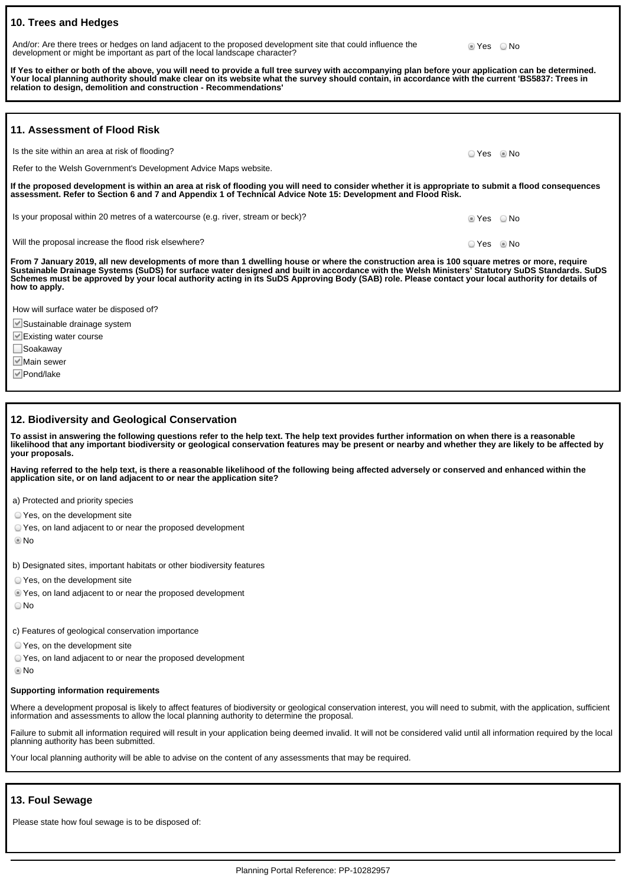# **10. Trees and Hedges**

And/or: Are there trees or hedges on land adjacent to the proposed development site that could influence the development or might be important as part of the local landscape character?

**If Yes to either or both of the above, you will need to provide a full tree survey with accompanying plan before your application can be determined. Your local planning authority should make clear on its website what the survey should contain, in accordance with the current 'BS5837: Trees in relation to design, demolition and construction - Recommendations'**

■ Yes 
■ No

| 11. Assessment of Flood Risk                                                                                                                                                                                                                                                                                                                                                                                                                                          |            |  |  |  |
|-----------------------------------------------------------------------------------------------------------------------------------------------------------------------------------------------------------------------------------------------------------------------------------------------------------------------------------------------------------------------------------------------------------------------------------------------------------------------|------------|--|--|--|
| Is the site within an area at risk of flooding?                                                                                                                                                                                                                                                                                                                                                                                                                       | ○ Yes ◎ No |  |  |  |
| Refer to the Welsh Government's Development Advice Maps website.                                                                                                                                                                                                                                                                                                                                                                                                      |            |  |  |  |
| If the proposed development is within an area at risk of flooding you will need to consider whether it is appropriate to submit a flood consequences<br>assessment. Refer to Section 6 and 7 and Appendix 1 of Technical Advice Note 15: Development and Flood Risk.                                                                                                                                                                                                  |            |  |  |  |
| Is your proposal within 20 metres of a watercourse (e.g. river, stream or beck)?                                                                                                                                                                                                                                                                                                                                                                                      | lier CNo   |  |  |  |
| Will the proposal increase the flood risk elsewhere?                                                                                                                                                                                                                                                                                                                                                                                                                  | ○ Yes ◎ No |  |  |  |
| From 7 January 2019, all new developments of more than 1 dwelling house or where the construction area is 100 square metres or more, require<br>Sustainable Drainage Systems (SuDS) for surface water designed and built in accordance with the Welsh Ministers' Statutory SuDS Standards. SuDS<br>Schemes must be approved by your local authority acting in its SuDS Approving Body (SAB) role. Please contact your local authority for details of<br>how to apply. |            |  |  |  |
| How will surface water be disposed of?                                                                                                                                                                                                                                                                                                                                                                                                                                |            |  |  |  |
| Sustainable drainage system                                                                                                                                                                                                                                                                                                                                                                                                                                           |            |  |  |  |
| $\blacksquare$ Existing water course                                                                                                                                                                                                                                                                                                                                                                                                                                  |            |  |  |  |
| ∐Soakaway                                                                                                                                                                                                                                                                                                                                                                                                                                                             |            |  |  |  |

**12. Biodiversity and Geological Conservation**

**To assist in answering the following questions refer to the help text. The help text provides further information on when there is a reasonable likelihood that any important biodiversity or geological conservation features may be present or nearby and whether they are likely to be affected by your proposals.**

**Having referred to the help text, is there a reasonable likelihood of the following being affected adversely or conserved and enhanced within the application site, or on land adjacent to or near the application site?**

a) Protected and priority species

Yes, on the development site

Yes, on land adjacent to or near the proposed development

No

**Ø**Main sewer **Ø** Pond/lake

b) Designated sites, important habitats or other biodiversity features

Yes, on the development site

Yes, on land adjacent to or near the proposed development

No

c) Features of geological conservation importance

Yes, on the development site

Yes, on land adjacent to or near the proposed development

No

#### **Supporting information requirements**

Where a development proposal is likely to affect features of biodiversity or geological conservation interest, you will need to submit, with the application, sufficient information and assessments to allow the local planning authority to determine the proposal.

Failure to submit all information required will result in your application being deemed invalid. It will not be considered valid until all information required by the local planning authority has been submitted.

Your local planning authority will be able to advise on the content of any assessments that may be required.

# **13. Foul Sewage**

Please state how foul sewage is to be disposed of: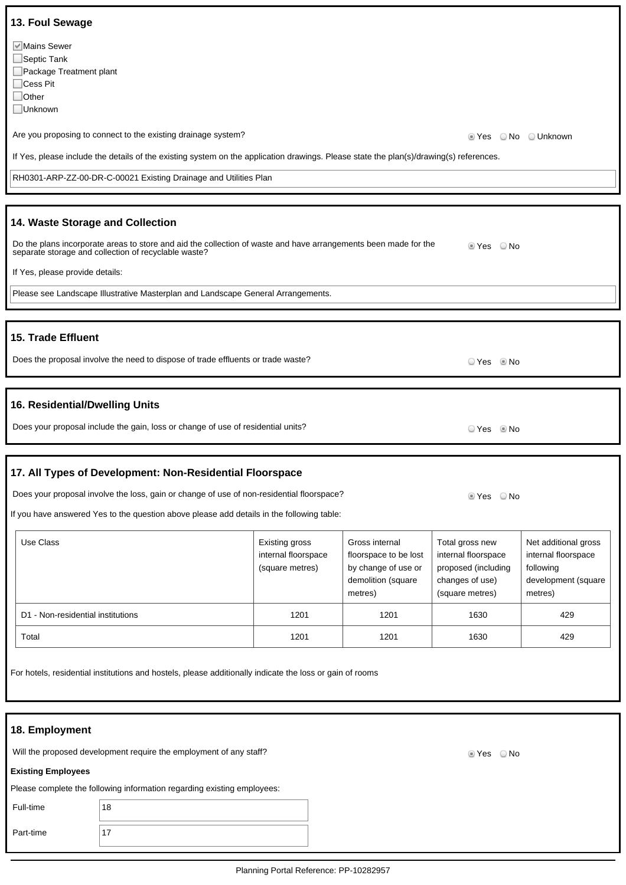| 13. Foul Sewage<br>Mains Sewer                                                                                                                                                         |                                                          |                                                                                                 |                                                                                                     |                                                                                            |  |
|----------------------------------------------------------------------------------------------------------------------------------------------------------------------------------------|----------------------------------------------------------|-------------------------------------------------------------------------------------------------|-----------------------------------------------------------------------------------------------------|--------------------------------------------------------------------------------------------|--|
| Septic Tank<br>Package Treatment plant<br>$\Box$ Cess Pit<br>$\Box$ Other<br>□Unknown                                                                                                  |                                                          |                                                                                                 |                                                                                                     |                                                                                            |  |
| Are you proposing to connect to the existing drainage system?                                                                                                                          |                                                          |                                                                                                 | ■ Yes © No © Unknown                                                                                |                                                                                            |  |
| If Yes, please include the details of the existing system on the application drawings. Please state the plan(s)/drawing(s) references.                                                 |                                                          |                                                                                                 |                                                                                                     |                                                                                            |  |
| RH0301-ARP-ZZ-00-DR-C-00021 Existing Drainage and Utilities Plan                                                                                                                       |                                                          |                                                                                                 |                                                                                                     |                                                                                            |  |
|                                                                                                                                                                                        |                                                          |                                                                                                 |                                                                                                     |                                                                                            |  |
| 14. Waste Storage and Collection                                                                                                                                                       |                                                          |                                                                                                 |                                                                                                     |                                                                                            |  |
| Do the plans incorporate areas to store and aid the collection of waste and have arrangements been made for the<br>separate storage and collection of recyclable waste?                |                                                          |                                                                                                 | ■ Yes ■ No                                                                                          |                                                                                            |  |
| If Yes, please provide details:                                                                                                                                                        |                                                          |                                                                                                 |                                                                                                     |                                                                                            |  |
| Please see Landscape Illustrative Masterplan and Landscape General Arrangements.                                                                                                       |                                                          |                                                                                                 |                                                                                                     |                                                                                            |  |
|                                                                                                                                                                                        |                                                          |                                                                                                 |                                                                                                     |                                                                                            |  |
| 15. Trade Effluent                                                                                                                                                                     |                                                          |                                                                                                 |                                                                                                     |                                                                                            |  |
| Does the proposal involve the need to dispose of trade effluents or trade waste?                                                                                                       |                                                          |                                                                                                 | ⊙ Yes © No                                                                                          |                                                                                            |  |
|                                                                                                                                                                                        |                                                          |                                                                                                 |                                                                                                     |                                                                                            |  |
| 16. Residential/Dwelling Units                                                                                                                                                         |                                                          |                                                                                                 |                                                                                                     |                                                                                            |  |
| Does your proposal include the gain, loss or change of use of residential units?                                                                                                       |                                                          |                                                                                                 | O Yes . I No                                                                                        |                                                                                            |  |
|                                                                                                                                                                                        |                                                          |                                                                                                 |                                                                                                     |                                                                                            |  |
| 17. All Types of Development: Non-Residential Floorspace                                                                                                                               |                                                          |                                                                                                 |                                                                                                     |                                                                                            |  |
| Does your proposal involve the loss, gain or change of use of non-residential floorspace?<br>If you have answered Yes to the question above please add details in the following table: |                                                          |                                                                                                 | $\bigcirc$ No<br>© Yes                                                                              |                                                                                            |  |
|                                                                                                                                                                                        |                                                          |                                                                                                 |                                                                                                     |                                                                                            |  |
| Use Class                                                                                                                                                                              | Existing gross<br>internal floorspace<br>(square metres) | Gross internal<br>floorspace to be lost<br>by change of use or<br>demolition (square<br>metres) | Total gross new<br>internal floorspace<br>proposed (including<br>changes of use)<br>(square metres) | Net additional gross<br>internal floorspace<br>following<br>development (square<br>metres) |  |
| D1 - Non-residential institutions                                                                                                                                                      | 1201                                                     | 1201                                                                                            | 1630                                                                                                | 429                                                                                        |  |
| Total                                                                                                                                                                                  | 1201                                                     | 1201                                                                                            | 1630                                                                                                | 429                                                                                        |  |
| For hotels, residential institutions and hostels, please additionally indicate the loss or gain of rooms                                                                               |                                                          |                                                                                                 |                                                                                                     |                                                                                            |  |
| 18. Employment                                                                                                                                                                         |                                                          |                                                                                                 |                                                                                                     |                                                                                            |  |
| Will the proposed development require the employment of any staff?<br>© Yes ○ No                                                                                                       |                                                          |                                                                                                 |                                                                                                     |                                                                                            |  |
| <b>Existing Employees</b>                                                                                                                                                              |                                                          |                                                                                                 |                                                                                                     |                                                                                            |  |
| Please complete the following information regarding existing employees:                                                                                                                |                                                          |                                                                                                 |                                                                                                     |                                                                                            |  |
| Full-time<br>18                                                                                                                                                                        |                                                          |                                                                                                 |                                                                                                     |                                                                                            |  |
| 17<br>Part-time                                                                                                                                                                        |                                                          |                                                                                                 |                                                                                                     |                                                                                            |  |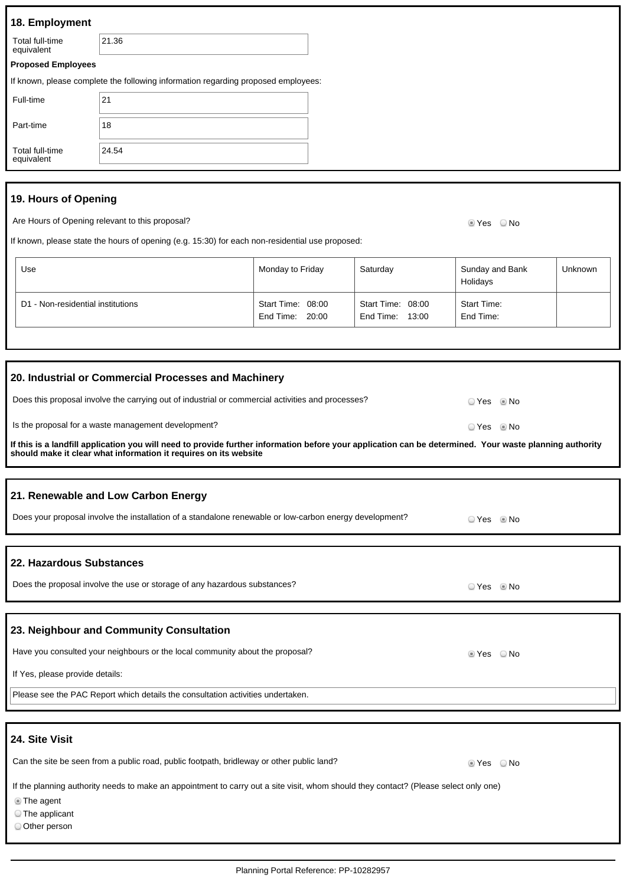| 18. Employment                                                                                                                                                                                                                                                                                                                                                                                                                                                                    |                                                                                                 |                                      |                                      |                                 |         |  |
|-----------------------------------------------------------------------------------------------------------------------------------------------------------------------------------------------------------------------------------------------------------------------------------------------------------------------------------------------------------------------------------------------------------------------------------------------------------------------------------|-------------------------------------------------------------------------------------------------|--------------------------------------|--------------------------------------|---------------------------------|---------|--|
| Total full-time<br>equivalent                                                                                                                                                                                                                                                                                                                                                                                                                                                     | 21.36                                                                                           |                                      |                                      |                                 |         |  |
| <b>Proposed Employees</b>                                                                                                                                                                                                                                                                                                                                                                                                                                                         |                                                                                                 |                                      |                                      |                                 |         |  |
|                                                                                                                                                                                                                                                                                                                                                                                                                                                                                   | If known, please complete the following information regarding proposed employees:               |                                      |                                      |                                 |         |  |
| Full-time                                                                                                                                                                                                                                                                                                                                                                                                                                                                         | 21                                                                                              |                                      |                                      |                                 |         |  |
| Part-time                                                                                                                                                                                                                                                                                                                                                                                                                                                                         | 18                                                                                              |                                      |                                      |                                 |         |  |
| <b>Total full-time</b><br>equivalent                                                                                                                                                                                                                                                                                                                                                                                                                                              | 24.54                                                                                           |                                      |                                      |                                 |         |  |
| 19. Hours of Opening                                                                                                                                                                                                                                                                                                                                                                                                                                                              |                                                                                                 |                                      |                                      |                                 |         |  |
|                                                                                                                                                                                                                                                                                                                                                                                                                                                                                   | Are Hours of Opening relevant to this proposal?                                                 |                                      |                                      | © Yes ○ No                      |         |  |
|                                                                                                                                                                                                                                                                                                                                                                                                                                                                                   | If known, please state the hours of opening (e.g. 15:30) for each non-residential use proposed: |                                      |                                      |                                 |         |  |
| Use                                                                                                                                                                                                                                                                                                                                                                                                                                                                               |                                                                                                 | Monday to Friday                     | Saturday                             | Sunday and Bank<br>Holidays     | Unknown |  |
| D1 - Non-residential institutions                                                                                                                                                                                                                                                                                                                                                                                                                                                 |                                                                                                 | Start Time: 08:00<br>End Time: 20:00 | Start Time: 08:00<br>End Time: 13:00 | <b>Start Time:</b><br>End Time: |         |  |
|                                                                                                                                                                                                                                                                                                                                                                                                                                                                                   |                                                                                                 |                                      |                                      |                                 |         |  |
| 20. Industrial or Commercial Processes and Machinery<br>Does this proposal involve the carrying out of industrial or commercial activities and processes?<br>○ Yes<br>© No<br>Is the proposal for a waste management development?<br>○ Yes<br>© No<br>If this is a landfill application you will need to provide further information before your application can be determined. Your waste planning authority<br>should make it clear what information it requires on its website |                                                                                                 |                                      |                                      |                                 |         |  |
| 21. Renewable and Low Carbon Energy<br>Does your proposal involve the installation of a standalone renewable or low-carbon energy development?<br>⊙ Yes ◎ No                                                                                                                                                                                                                                                                                                                      |                                                                                                 |                                      |                                      |                                 |         |  |
| 22. Hazardous Substances<br>Does the proposal involve the use or storage of any hazardous substances?<br>© Yes ◎ No                                                                                                                                                                                                                                                                                                                                                               |                                                                                                 |                                      |                                      |                                 |         |  |
| 23. Neighbour and Community Consultation<br>Have you consulted your neighbours or the local community about the proposal?<br>$\circ$ Yes $\circ$ No<br>If Yes, please provide details:<br>Please see the PAC Report which details the consultation activities undertaken.                                                                                                                                                                                                         |                                                                                                 |                                      |                                      |                                 |         |  |
|                                                                                                                                                                                                                                                                                                                                                                                                                                                                                   |                                                                                                 |                                      |                                      |                                 |         |  |
| 24. Site Visit                                                                                                                                                                                                                                                                                                                                                                                                                                                                    |                                                                                                 |                                      |                                      |                                 |         |  |
| Can the site be seen from a public road, public footpath, bridleway or other public land?<br>$\circ$ Yes $\circ$ No<br>If the planning authority needs to make an appointment to carry out a site visit, whom should they contact? (Please select only one)<br><b>The agent</b><br>The applicant<br>Other person                                                                                                                                                                  |                                                                                                 |                                      |                                      |                                 |         |  |
|                                                                                                                                                                                                                                                                                                                                                                                                                                                                                   |                                                                                                 |                                      |                                      |                                 |         |  |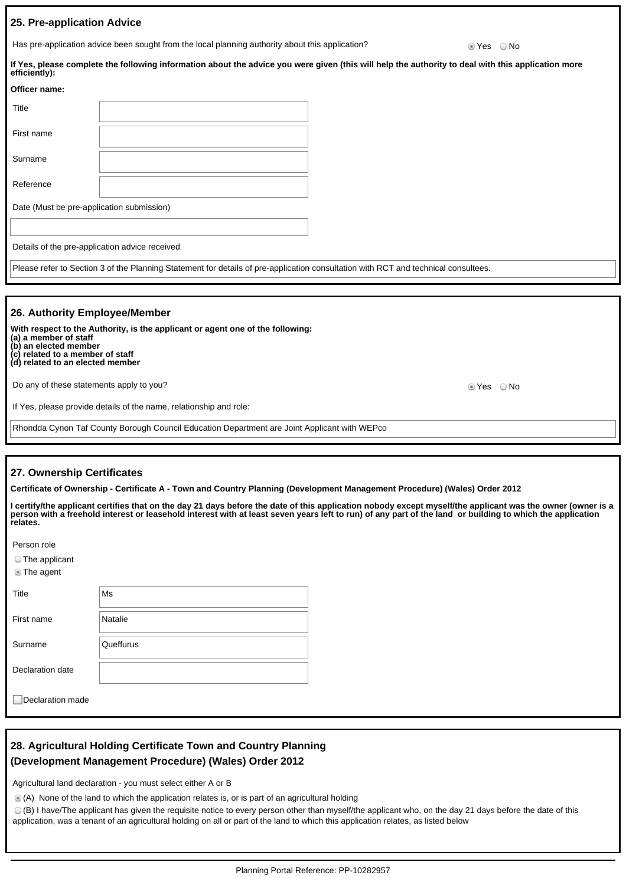#### **25. Pre-application Advice**

Has pre-application advice been sought from the local planning authority about this application? <br>
Set a No

| efficiently):                                                                                                                                                                                                                             | If Yes, please complete the following information about the advice you were given (this will help the authority to deal with this application more |  |  |  |
|-------------------------------------------------------------------------------------------------------------------------------------------------------------------------------------------------------------------------------------------|----------------------------------------------------------------------------------------------------------------------------------------------------|--|--|--|
| Officer name:                                                                                                                                                                                                                             |                                                                                                                                                    |  |  |  |
| Title                                                                                                                                                                                                                                     |                                                                                                                                                    |  |  |  |
| First name                                                                                                                                                                                                                                |                                                                                                                                                    |  |  |  |
| Surname                                                                                                                                                                                                                                   |                                                                                                                                                    |  |  |  |
| Reference                                                                                                                                                                                                                                 |                                                                                                                                                    |  |  |  |
| Date (Must be pre-application submission)                                                                                                                                                                                                 |                                                                                                                                                    |  |  |  |
| Details of the pre-application advice received                                                                                                                                                                                            |                                                                                                                                                    |  |  |  |
|                                                                                                                                                                                                                                           | Please refer to Section 3 of the Planning Statement for details of pre-application consultation with RCT and technical consultees.                 |  |  |  |
| 26. Authority Employee/Member<br>With respect to the Authority, is the applicant or agent one of the following:<br>(a) a member of staff<br>(b) an elected member<br>(c) related to a member of staff<br>(d) related to an elected member |                                                                                                                                                    |  |  |  |

Do any of these statements apply to you? The statements apply to you?

If Yes, please provide details of the name, relationship and role:

Rhondda Cynon Taf County Borough Council Education Department are Joint Applicant with WEPco

#### **27. Ownership Certificates**

**Certificate of Ownership - Certificate A - Town and Country Planning (Development Management Procedure) (Wales) Order 2012**

| l certify/the applicant certifies that on the day 21 days before the date of this application nobody except myself/the applicant was the owner (owner is a |  |
|------------------------------------------------------------------------------------------------------------------------------------------------------------|--|
| person with a freehold interest or leasehold interest with at least seven years left to run) of any part of the land  or building to which the application |  |
| relates.                                                                                                                                                   |  |

| Person role      |           |
|------------------|-----------|
| ◯ The applicant  |           |
| <b>The agent</b> |           |
| Title            | Ms        |
| First name       | Natalie   |
| Surname          | Queffurus |
| Declaration date |           |
|                  |           |

Declaration made

# **28. Agricultural Holding Certificate Town and Country Planning (Development Management Procedure) (Wales) Order 2012**

Agricultural land declaration - you must select either A or B

(A) None of the land to which the application relates is, or is part of an agricultural holding

(B) I have/The applicant has given the requisite notice to every person other than myself/the applicant who, on the day 21 days before the date of this application, was a tenant of an agricultural holding on all or part of the land to which this application relates, as listed below